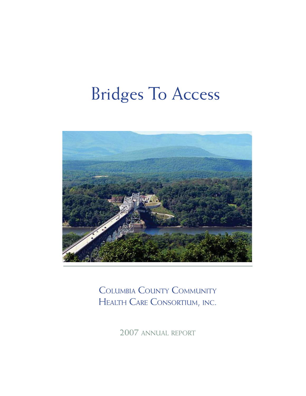### Bridges To Access



COLUMBIA COUNTY COMMUNITY HEALTH CARE CONSORTIUM, INC.

2007 ANNUAL REPORT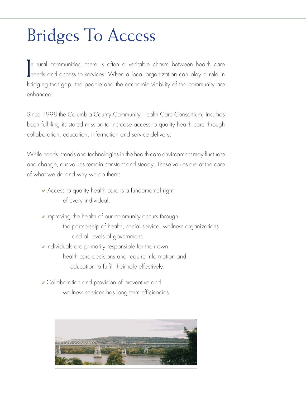# Bridges To Access

I needs and access to services. When a local organization can play a role in n rural communities, there is often a veritable chasm between health care bridging that gap, the people and the economic viability of the community are enhanced.

Since 1998 the Columbia County Community Health Care Consortium, Inc. has been fulfilling its stated mission to increase access to quality health care through collaboration, education, information and service delivery.

While needs, trends and technologies in the health care environment may fluctuate and change, our values remain constant and steady. These values are at the core of what we do and why we do them:

- $\vee$  Access to quality health care is a fundamental right of every individual.
- $\blacktriangleright$  Improving the health of our community occurs through the partnership of health, social service, wellness organizations and all levels of government.
- $\blacktriangleright$  Individuals are primarily responsible for their own health care decisions and require information and education to fulfill their role effectively.
- $\vee$  Collaboration and provision of preventive and wellness services has long term efficiencies.

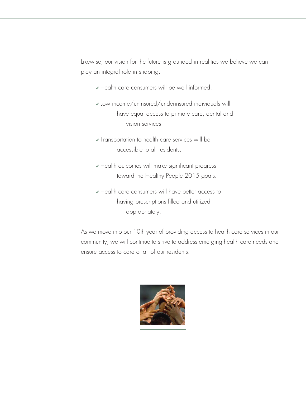Likewise, our vision for the future is grounded in realities we believe we can play an integral role in shaping.

- $\vee$  Health care consumers will be well informed.
- $\vee$  Low income/uninsured/underinsured individuals will have equal access to primary care, dental and vision services.
- $\checkmark$  Transportation to health care services will be accessible to all residents.
- $\vee$  Health outcomes will make significant progress toward the Healthy People 2015 goals.
- $\vee$  Health care consumers will have better access to having prescriptions filled and utilized appropriately.

As we move into our 10th year of providing access to health care services in our community, we will continue to strive to address emerging health care needs and ensure access to care of all of our residents.

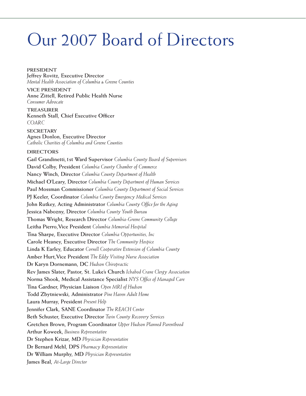#### Our 2007 Board of Directors

**PRESIDENT Jeffrey Rovitz, Executive Director** *Mental Health Association of Columbia & Greene Counties*

**VICE PRESIDENT Anne Zittell, Retired Public Health Nurse**  *Consumer Advocate*

**TREASURER Kenneth Stall, Chief Executive Officer** *COARC*

**SECRETARY Agnes Donlon, Executive Director** *Catholic Charities of Columbia and Greene Counties*

#### **DIRECTORS**

**Gail Grandinetti,1st Ward Supervisor** *Columbia County Board of Supervisors* **David Colby, President** *Columbia County Chamber of Commerce* **Nancy Winch, Director** *Columbia County Department of Health* **Michael O'Leary, Director** *Columbia County Department of Human Services* **Paul Mossman Commissioner** *Columbia County Department of Social Services* **PJ Keeler, Coordinator** *Columbia County Emergency Medical Services* **John Rutkey, Acting Administrator** *Columbia County Office for the Aging* **Jessica Nabozny, Director** *Columbia County Youth Bureau* **Thomas Wright, Research Director** *Columbia-Greene Community College* **Leitha Pierro,Vice President** *Columbia Memorial Hospital* **Tina Sharpe, Executive Director** *Columbia Opportunities, Inc* **Carole Heaney, Executive Director** *The Community Hospice* **Linda K Earley, Educator** *Cornell Cooperative Extension of Columbia County* **Amber Hurt,Vice President** *The Eddy Visiting Nurse Association* **Dr Karyn Dornemann, DC** *Hudson Chiropractic* **Rev James Slater, Pastor, St. Luke's Church** *Ichabod Crane Clergy Association* **Norma Shook, Medical Assistance Specialist** *NYS Office of Managed Care* **Tina Gardner, Physician Liaison** *Open MRI of Hudson* **Todd Zbytniewski, Administrator** *Pine Haven Adult Home* **Laura Murray, President** *Present Help* **Jennifer Clark, SANE Coordinator** *The REACH Center* **Beth Schuster, Executive Director** *Twin County Recovery Services* **Gretchen Brown, Program Coordinator** *Upper Hudson Planned Parenthood* **Arthur Koweek,** *Business Representative* **Dr Stephen Krizar, MD** *Physician Representative* **Dr Bernard Mehl, DPS** *Pharmacy Representative* **Dr William Murphy, MD** *Physician Representative* **James Beal,** *At-Large Director*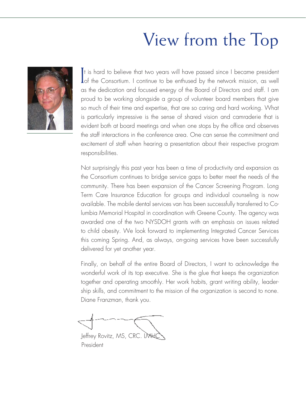## View from the Top



**I** of the Consortium. I continue to be enthused by the network mission, as well t is hard to believe that two years will have passed since I became president as the dedication and focused energy of the Board of Directors and staff. I am proud to be working alongside a group of volunteer board members that give so much of their time and expertise, that are so caring and hard working. What is particularly impressive is the sense of shared vision and camraderie that is evident both at board meetings and when one stops by the office and observes the staff interactions in the conference area. One can sense the commitment and excitement of staff when hearing a presentation about their respective program responsibilities.

Not surprisingly this past year has been a time of productivity and expansion as the Consortium continues to bridge service gaps to better meet the needs of the community. There has been expansion of the Cancer Screening Program. Long Term Care Insurance Education for groups and individual counseling is now available. The mobile dental services van has been successfully transferred to Columbia Memorial Hospital in coordination with Greene County. The agency was awarded one of the two NYSDOH grants with an emphasis on issues related to child obesity. We look forward to implementing Integrated Cancer Services this coming Spring. And, as always, on-going services have been successfully delivered for yet another year.

Finally, on behalf of the entire Board of Directors, I want to acknowledge the wonderful work of its top executive. She is the glue that keeps the organization together and operating smoothly. Her work habits, grant writing ability, leadership skills, and commitment to the mission of the organization is second to none. Diane Franzman, thank you.

Jeffrey Rovitz, MS, CRC. LMHC President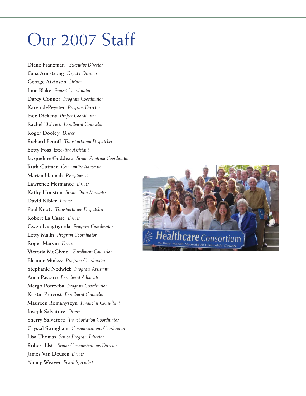#### Our 2007 Staff

**Diane Franzman** *Executive Director* **Gina Armstrong** *Deputy Director* **George Atkinson** *Driver* **June Blake** *Project Coordinator* **Darcy Connor** *Program Coordinator* **Karen dePeyster** *Program Director* **Inez Dickens** *Project Coordinator* **Rachel Dobert** *Enrollment Counselor* **Roger Dooley** *Driver*  **Richard Fenoff** *Transportation Dispatcher* **Betty Foss** *Executive Assistant* **Jacqueline Goddeau** *Senior Program Coordinator* **Ruth Gutman** *Community Advocate* **Marian Hannah** *Receptionist* **Lawrence Hermance** *Driver* **Kathy Houston** *Senior Data Manager* **David Kibler** *Driver* **Paul Knott** *Transportation Dispatcher*  **Robert La Casse** *Driver* **Gwen Lacigtignola** *Program Coordinator* **Letty Malin** *Program Coordinator* **Roger Marvin** *Driver*  **Victoria McGlynn** *Enrollment Counselor*  **Eleanor Minksy** *Program Coordinator* **Stephanie Nedwick** *Program Assistant*  **Anna Passaro** *Enrollment Advocate* **Margo Potrzeba** *Program Coordinator* **Kristin Provost** *Enrollment Counselor* **Maureen Romanyszyn** *Financial Consultant* **Joseph Salvatore** *Driver* **Sherry Salvatore** *Transportation Coordinator* **Crystal Stringham** *Communications Coordinator* **Lisa Thomas** *Senior Program Director* **Robert Usis** *Senior Communications Director* **James Van Deusen** *Driver* **Nancy Weaver** *Fiscal Specialist*

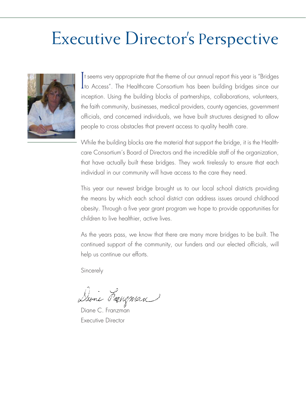#### Executive Director's Perspective



I to Access". The Healthcare Consortium has been building bridges since our t seems very appropriate that the theme of our annual report this year is "Bridges inception. Using the building blocks of partnerships, collaborations, volunteers, the faith community, businesses, medical providers, county agencies, government officials, and concerned individuals, we have built structures designed to allow people to cross obstacles that prevent access to quality health care.

While the building blocks are the material that support the bridge, it is the Healthcare Consortium's Board of Directors and the incredible staff of the organization, that have actually built these bridges. They work tirelessly to ensure that each individual in our community will have access to the care they need.

This year our newest bridge brought us to our local school districts providing the means by which each school district can address issues around childhood obesity. Through a five year grant program we hope to provide opportunities for children to live healthier, active lives.

As the years pass, we know that there are many more bridges to be built. The continued support of the community, our funders and our elected officials, will help us continue our efforts.

**Sincerely** 

Dione Franzman

Diane C. Franzman Executive Director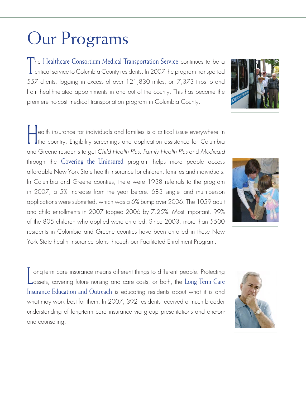## Our Programs

The Healthcare Consortium Medical Transportation Service continues to be a critical service to Columbia County residents. In 2007 the program transported 557 clients, logging in excess of over 121,830 miles, on 7,373 trips to and from health-related appointments in and out of the county. This has become the premiere no-cost medical transportation program in Columbia County.

Health insurance for individuals and families is a critical issue everywhere in the country. Eligibility screenings and application assistance for Columbia and Greene residents to get Child Health Plus, Family Health Plus and Medicaid through the Covering the Uninsured program helps more people access affordable New York State health insurance for children, families and individuals. In Columbia and Greene counties, there were 1938 referrals to the program in 2007, a 5% increase from the year before. 683 single- and multi-person applications were submitted, which was a 6% bump over 2006. The 1059 adult and child enrollments in 2007 topped 2006 by 7.25%. Most important, 99% of the 805 children who applied were enrolled. Since 2003, more than 5500 residents in Columbia and Greene counties have been enrolled in these New York State health insurance plans through our Facilitated Enrollment Program.

Long-term care insurance means different things to different people. Protecting assets, covering future nursing and care costs, or both, the Long Term Care Insurance Education and Outreach is educating residents about what it is and what may work best for them. In 2007, 392 residents received a much broader understanding of long-term care insurance via group presentations and one-onone counseling.





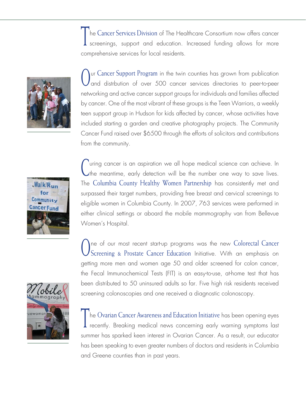In the Cancer Services Division of The Healthcare Consortium now offers cancer<br>screenings, support and education. Increased funding allows for more comprehensive services for local residents.



Our Cancer Support Program in the twin counties has grown from publication and distrbution of over 500 cancer services directories to peer-to-peer networking and active cancer support groups for individuals and families affected by cancer. One of the most vibrant of these groups is the Teen Warriors, a weekly teen support group in Hudson for kids affected by cancer, whose activities have included starting a garden and creative photography projects. The Community Cancer Fund raised over \$6500 through the efforts of solicitors and contributions from the community.



Uting cancer is an aspiration we all hope medical science can achieve. In the meantime, early detection will be the number one way to save lives. The Columbia County Healthy Women Partnership has consistently met and surpassed their target numbers, providing free breast and cervical screenings to eligible women in Columbia County. In 2007, 763 services were performed in either clinical settings or aboard the mobile mammography van from Bellevue Women's Hospital.

One of our most recent start-up programs was the new Colorectal Cancer<br>Screening & Prostate Cancer Education Initiative. With an emphasis on getting more men and women age 50 and older screened for colon cancer, the Fecal Immunochemical Tests (FIT) is an easy-to-use, at-home test that has been distributed to 50 uninsured adults so far. Five high risk residents received screening colonoscopies and one received a diagnostic colonoscopy.



The Ovarian Cancer Awareness and Education Initiative has been opening eyes **I** recently. Breaking medical news concerning early warning symptoms last summer has sparked keen interest in Ovarian Cancer. As a result, our educator has been speaking to even greater numbers of doctors and residents in Columbia and Greene counties than in past years.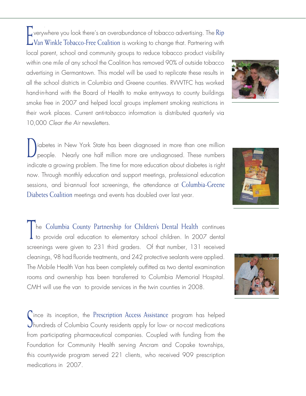Everywhere you look there's an overabundance of tobacco advertising. The Rip LVan Winkle Tobacco-Free Coalition is working to change that. Partnering with local parent, school and community groups to reduce tobacco product visibility within one mile of any school the Coalition has removed 90% of outside tobacco advertising in Germantown. This model will be used to replicate these results in all the school districts in Columbia and Greene counties. RVWTFC has worked hand-in-hand with the Board of Health to make entryways to county buildings smoke free in 2007 and helped local groups implement smoking restrictions in their work places. Current anti-tobacco information is distributed quarterly via 10,000 Clear the Air newsletters.

Diabetes in New York State has been diagnosed in more than one million people. Nearly one half million more are undiagnosed. These numbers indicate a growing problem. The time for more education about diabetes is right now. Through monthly education and support meetings, professional education sessions, and bi-annual foot screenings, the attendance at Columbia-Greene Diabetes Coalition meetings and events has doubled over last year.

The Columbia County Partnership for Children's Dental Health continues to provide oral education to elementary school children. In 2007 dental screenings were given to 231 third graders. Of that number, 131 received cleanings, 98 had fluoride treatments, and 242 protective sealants were applied. The Mobile Health Van has been completely outfitted as two dental examination rooms and ownership has been transferred to Columbia Memorial Hospital. CMH will use the van to provide services in the twin counties in 2008.

Since its inception, the Prescription Access Assistance program has helped hundreds of Columbia County residents apply for low- or no-cost medications from participating pharmaceutical companies. Coupled with funding from the Foundation for Community Health serving Ancram and Copake townships, this countywide program served 221 clients, who received 909 prescription medications in 2007.





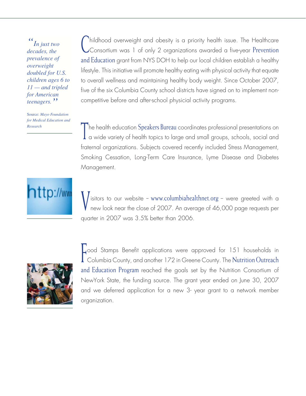*" In just two decades, the prevalence of overweight doubled for U.S. children ages 6 to 11 — and tripled for American teenagers."*

Source: *Mayo Foundation for Medical Education and Research*

tp://ww

(
Inildhood overweight and obesity is a priority health issue. The Healthcare<br>
Consortium was 1 of only 2 organizations awarded a five-year Prevention and Education grant from NYS DOH to help our local children establish a healthy lifestyle. This initiative will promote healthy eating with physical activity that equate to overall wellness and maintaining healthy body weight. Since October 2007, five of the six Columbia County school districts have signed on to implement noncompetitive before and after-school physicial activity programs.

The health education Speakers Bureau coordinates professional presentations on  $\alpha$  a wide variety of health topics to large and small groups, schools, social and fraternal organizations. Subjects covered recently included Stress Management, Smoking Cessation, Long-Term Care Insurance, Lyme Disease and Diabetes Management.

 $\sqrt{\frac{1}{2}}$  isitors to our website – www.columbiahealthnet.org – were greeted with a new look near the close of 2007. An average of 46,000 page requests per quarter in 2007 was 3.5% better than 2006.



Food Stamps Benefit applications were approved for 151 households in<br>Columbia County, and another 172 in Greene County. The Nutrition Outreach and Education Program reached the goals set by the Nutrition Consortium of NewYork State, the funding source. The grant year ended on June 30, 2007 and we deferred application for a new 3- year grant to a network member organization.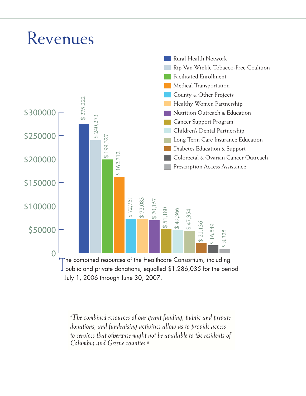#### Revenues



July 1, 2006 through June 30, 2007.

*"The combined resources of our grant funding, public and private donations, and fundraising activities allow us to provide access to services that otherwise might not be available to the residents of Columbia and Greene counties."*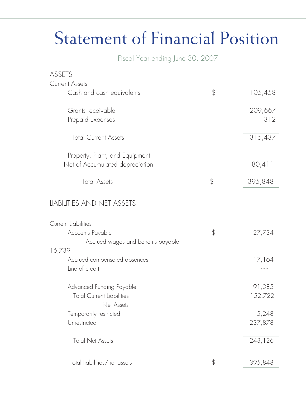# Statement of Financial Position

Fiscal Year ending June 30, 2007

| ASSETS                                                                     |                   |
|----------------------------------------------------------------------------|-------------------|
| <b>Current Assets</b>                                                      |                   |
| Cash and cash equivalents                                                  | \$<br>105,458     |
| Grants receivable                                                          | 209,667           |
| Prepaid Expenses                                                           | 312               |
| <b>Total Current Assets</b>                                                | 315,437           |
| Property, Plant, and Equipment<br>Net of Accumulated depreciation          | 80,411            |
| <b>Total Assets</b>                                                        | \$<br>395,848     |
| LIABILITIES AND NET ASSETS                                                 |                   |
| <b>Current Liabilities</b>                                                 |                   |
| Accounts Payable<br>Accrued wages and benefits payable                     | \$<br>27,734      |
| 16,739                                                                     |                   |
| Accrued compensated absences<br>Line of credit                             | 17,164            |
| Advanced Funding Payable<br><b>Total Current Liabilities</b><br>Net Assets | 91,085<br>152,722 |
| Temporarily restricted                                                     | 5,248             |
| Unrestricted                                                               | 237,878           |
| <b>Total Net Assets</b>                                                    | 243,126           |
| Total liabilities/net assets                                               | \$<br>395,848     |